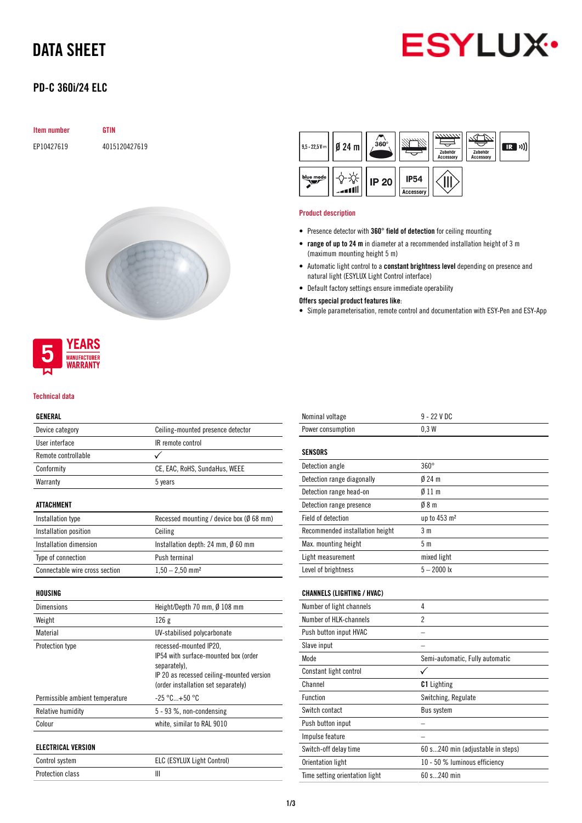# DATA SHEET



## PD-C 360i/24 ELC

| <b>Item number</b> | <b>GTIN</b>   |
|--------------------|---------------|
| EP10427619         | 4015120427619 |



### **YEARS MANUFACTURER WARRANTY**

#### Technical data

### GENERAL

| ucnenal                        |                                                                                                                             |
|--------------------------------|-----------------------------------------------------------------------------------------------------------------------------|
| Device category                | Ceiling-mounted presence detector                                                                                           |
| User interface                 | IR remote control                                                                                                           |
| Remote controllable            |                                                                                                                             |
| Conformity                     | CE, EAC, RoHS, SundaHus, WEEE                                                                                               |
| Warranty                       | 5 years                                                                                                                     |
| ATTACHMENT                     |                                                                                                                             |
| Installation type              | Recessed mounting / device box ( $\emptyset$ 68 mm)                                                                         |
| Installation position          | Ceiling                                                                                                                     |
| Installation dimension         | Installation depth: 24 mm, $\emptyset$ 60 mm                                                                                |
| Type of connection             | Push terminal                                                                                                               |
| Connectable wire cross section | $1,50 - 2,50$ mm <sup>2</sup>                                                                                               |
| HOUSING                        |                                                                                                                             |
| <b>Dimensions</b>              | Height/Depth 70 mm, Ø 108 mm                                                                                                |
| Weight                         | 126g                                                                                                                        |
| Material                       | UV-stabilised polycarbonate                                                                                                 |
| Protection type                | recessed-mounted IP20,<br>IP54 with surface-mounted box (order<br>separately).<br>IP 20 as recessed ceiling-mounted version |

|                                 | (order installation set separately)            |
|---------------------------------|------------------------------------------------|
| Permissible ambient temperature | $-25\,^{\circ}\text{C}$ +50 $^{\circ}\text{C}$ |
| Relative humidity               | 5 - 93 %, non-condensing                       |
| Colour                          | white, similar to RAL 9010                     |
| ELECTRICAL VERSION              |                                                |

| Control system   | ELC (ESYLUX Light Control) |
|------------------|----------------------------|
| Protection class |                            |



#### Product description

- Presence detector with 360° field of detection for ceiling mounting
- range of up to 24 m in diameter at a recommended installation height of 3 m (maximum mounting height 5 m)
- Automatic light control to a constant brightness level depending on presence and natural light (ESYLUX Light Control interface)
- Default factory settings ensure immediate operability

#### Offers special product features like:

• Simple parameterisation, remote control and documentation with ESY-Pen and ESY-App

| Nominal voltage                   | $9 - 22$ V DC                     |
|-----------------------------------|-----------------------------------|
| Power consumption                 | 0.3W                              |
| SENSORS                           |                                   |
| Detection angle                   | $360^\circ$                       |
| Detection range diagonally        | $024$ m                           |
| Detection range head-on           | $\emptyset$ 11 m                  |
| Detection range presence          | 08 <sub>m</sub>                   |
| Field of detection                | up to 453 m <sup>2</sup>          |
| Recommended installation height   | 3 <sub>m</sub>                    |
| Max. mounting height              | 5 <sub>m</sub>                    |
| Light measurement                 | mixed light                       |
| Level of brightness               | $5 - 2000$ lx                     |
| <b>CHANNELS (LIGHTING / HVAC)</b> |                                   |
| Number of light channels          | 4                                 |
| Number of HLK-channels            | $\overline{2}$                    |
| Push button input HVAC            |                                   |
| Slave input                       |                                   |
| Mode                              | Semi-automatic, Fully automatic   |
| Constant light control            | ✓                                 |
| Channel                           | <b>C1</b> Lighting                |
| <b>Function</b>                   | Switching, Regulate               |
| Switch contact                    | <b>Bus system</b>                 |
| Push button input                 |                                   |
| Impulse feature                   |                                   |
| Switch-off delay time             | 60 s240 min (adjustable in steps) |
| Orientation light                 | 10 - 50 % luminous efficiency     |
| Time setting orientation light    | 60 s240 min                       |
|                                   |                                   |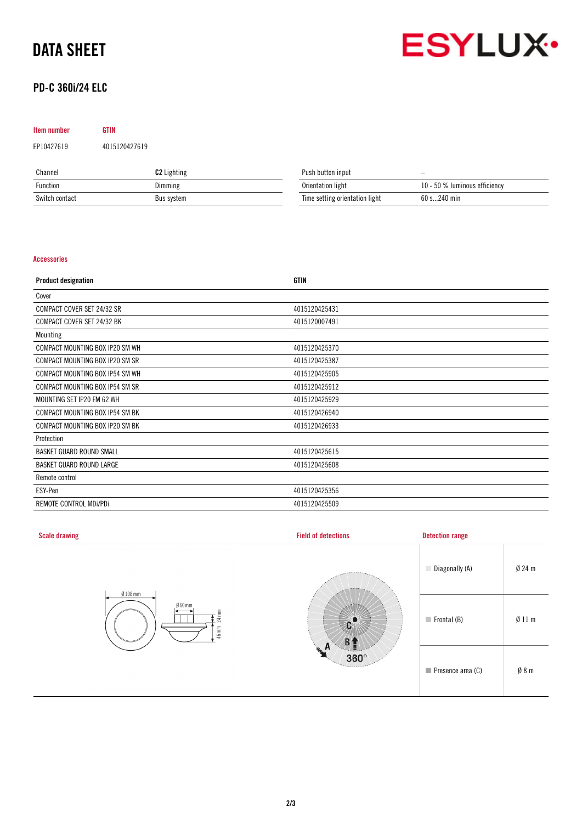# DATA SHEET



## PD-C 360i/24 ELC

# Item number GTIN EP10427619 4015120427619

| Channel        | <b>C2</b> Lighting | Push button input              | $\overline{\phantom{0}}$      |
|----------------|--------------------|--------------------------------|-------------------------------|
| Function       | Dimming            | Orientation light              | 10 - 50 % luminous efficiency |
| Switch contact | Bus system         | Time setting orientation light | 60 s240 min                   |

### Accessories

| <b>Product designation</b>      | <b>GTIN</b>   |
|---------------------------------|---------------|
| Cover                           |               |
| COMPACT COVER SET 24/32 SR      | 4015120425431 |
| COMPACT COVER SET 24/32 BK      | 4015120007491 |
| Mounting                        |               |
| COMPACT MOUNTING BOX IP20 SM WH | 4015120425370 |
| COMPACT MOUNTING BOX IP20 SM SR | 4015120425387 |
| COMPACT MOUNTING BOX IP54 SM WH | 4015120425905 |
| COMPACT MOUNTING BOX IP54 SM SR | 4015120425912 |
| MOUNTING SET IP20 FM 62 WH      | 4015120425929 |
| COMPACT MOUNTING BOX IP54 SM BK | 4015120426940 |
| COMPACT MOUNTING BOX IP20 SM BK | 4015120426933 |
| Protection                      |               |
| BASKET GUARD ROUND SMALL        | 4015120425615 |
| BASKET GUARD ROUND LARGE        | 4015120425608 |
| Remote control                  |               |
| ESY-Pen                         | 4015120425356 |
| REMOTE CONTROL MDI/PDI          | 4015120425509 |

| <b>Scale drawing</b>    | <b>Field of detections</b>           | <b>Detection range</b>     |          |
|-------------------------|--------------------------------------|----------------------------|----------|
| $Ø108$ mm               |                                      | Diagonally (A)             | $Ø$ 24 m |
| Ø60mm<br>24 mm<br>46 mm |                                      | $\blacksquare$ Frontal (B) | Ø11 m    |
|                         | n.<br>$360^\circ$<br><b>Tercitor</b> | Presence area (C)          | Ø8m      |